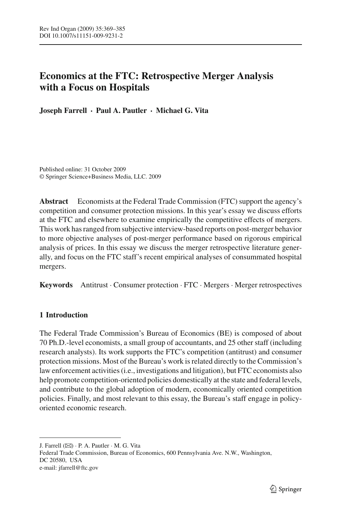# **Economics at the FTC: Retrospective Merger Analysis with a Focus on Hospitals**

**Joseph Farrell · Paul A. Pautler · Michael G. Vita**

Published online: 31 October 2009 © Springer Science+Business Media, LLC. 2009

**Abstract** Economists at the Federal Trade Commission (FTC) support the agency's competition and consumer protection missions. In this year's essay we discuss efforts at the FTC and elsewhere to examine empirically the competitive effects of mergers. This work has ranged from subjective interview-based reports on post-merger behavior to more objective analyses of post-merger performance based on rigorous empirical analysis of prices. In this essay we discuss the merger retrospective literature generally, and focus on the FTC staff's recent empirical analyses of consummated hospital mergers.

**Keywords** Antitrust · Consumer protection · FTC · Mergers · Merger retrospectives

# **1 Introduction**

The Federal Trade Commission's Bureau of Economics (BE) is composed of about 70 Ph.D.-level economists, a small group of accountants, and 25 other staff (including research analysts). Its work supports the FTC's competition (antitrust) and consumer protection missions. Most of the Bureau's work is related directly to the Commission's law enforcement activities (i.e., investigations and litigation), but FTC economists also help promote competition-oriented policies domestically at the state and federal levels, and contribute to the global adoption of modern, economically oriented competition policies. Finally, and most relevant to this essay, the Bureau's staff engage in policyoriented economic research.

J. Farrell  $(\boxtimes)$  · P. A. Pautler · M. G. Vita

Federal Trade Commission, Bureau of Economics, 600 Pennsylvania Ave. N.W., Washington, DC 20580, USA e-mail: jfarrell@ftc.gov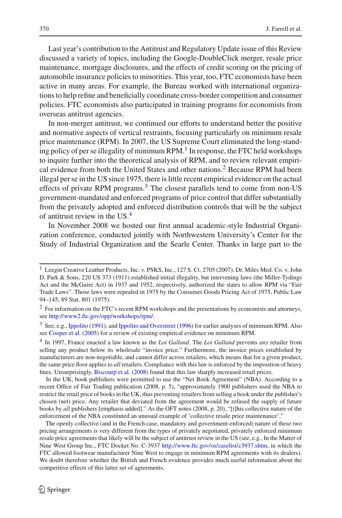Last year's contribution to the Antitrust and Regulatory Update issue of this Review discussed a variety of topics, including the Google-DoubleClick merger, resale price maintenance, mortgage disclosures, and the effects of credit scoring on the pricing of automobile insurance policies to minorities. This year, too, FTC economists have been active in many areas. For example, the Bureau worked with international organizations to help refine and beneficially coordinate cross-border competition and consumer policies. FTC economists also participated in training programs for economists from overseas antitrust agencies.

In non-merger antitrust, we continued our efforts to understand better the positive and normative aspects of vertical restraints, focusing particularly on minimum resale price maintenance (RPM). In 2007, the US Supreme Court eliminated the long-stand-ing policy of per se illegality of minimum RPM.<sup>[1](#page-1-0)</sup> In response, the FTC held workshops to inquire further into the theoretical analysis of RPM, and to review relevant empiri-cal evidence from both the United States and other nations.<sup>[2](#page-1-1)</sup> Because RPM had been illegal per se in the US since 1975, there is little recent empirical evidence on the actual effects of private RPM programs.<sup>3</sup> The closest parallels tend to come from non-US government-mandated and enforced programs of price control that differ substantially from the privately adopted and enforced distribution controls that will be the subject of antitrust review in the US.[4](#page-1-3)

In November 2008 we hosted our first annual academic-style Industrial Organization conference, conducted jointly with Northwestern University's Center for the Study of Industrial Organization and the Searle Center. Thanks in large part to the

<span id="page-1-0"></span><sup>1</sup> Leegin Creative Leather Products, Inc. v. PSKS, Inc., 127 S. Ct. 2705 (2007). Dr. Miles Med. Co. v. John D. Park & Sons, 220 US 373 (1911) established initial illegality, but intervening laws (the Miller-Tydings Act and the McGuire Act) in 1937 and 1952, respectively, authorized the states to allow RPM via "Fair Trade Laws". Those laws were repealed in 1975 by the Consumer Goods Pricing Act of 1975, Public Law 94–145, 89 Stat. 801 (1975).

<span id="page-1-1"></span> $2$  For information on the FTC's recent RPM workshops and the presentations by economists and attorneys, see [http://www2.ftc.gov/opp/workshops/rpm/.](http://www2.ftc.gov/opp/workshops/rpm/)

<span id="page-1-2"></span><sup>3</sup> See, e.g., [Ippolito](#page-16-0) [\(1991](#page-16-0)), and [Ippolito and Overstreet](#page-16-1) [\(1996\)](#page-16-1) for earlier analyses of minimum RPM. Also see [Cooper et al.](#page-15-0) [\(2005](#page-15-0)) for a review of existing empirical evidence on minimum RPM.

<span id="page-1-3"></span><sup>4</sup> In 1997, France enacted a law known as the *Loi Galland*. The *Loi Galland* prevents *any* retailer from selling any product below its wholesale "invoice price." Furthermore, the invoice prices established by manufacturers are non-negotiable, and cannot differ across retailers, which means that for a given product, the same price floor applies to *all* retailers. Compliance with this law is enforced by the imposition of heavy fines. Unsurprisingly, [Biscourp et al.](#page-15-1) [\(2008\)](#page-15-1) found that this law sharply increased retail prices.

In the UK, book publishers were permitted to use the "Net Book Agreement" (NBA). According to a recent Office of Fair Trading publication (2008, p. 5), "approximately 1900 publishers used the NBA to restrict the retail price of books in the UK, thus preventing retailers from selling a book under the publisher's chosen (net) price. Any retailer that deviated from the agreement would be refused the supply of future books by *all* publishers [emphasis added]." As the OFT notes (2008, p. 20), "[t]his collective nature of the enforcement of the NBA constituted an unusual example of 'collective resale price maintenance'."

The openly collective (and in the French case, mandatory and government-enforced) nature of these two pricing arrangements is very different from the types of privately negotiated, privately enforced minimum resale price agreements that likely will be the subject of antitrust review in the US (see, e.g., In the Matter of Nine West Group Inc., FTC Docket No. C-3937 [http://www.ftc.gov/os/caselist/c3937.shtm,](http://www.ftc.gov/os/caselist/c3937.shtm) in which the FTC allowed footwear manufacturer Nine West to engage in minimum RPM agreements with its dealers). We doubt therefore whether the British and French evidence provides much useful information about the competitive effects of this latter set of agreements.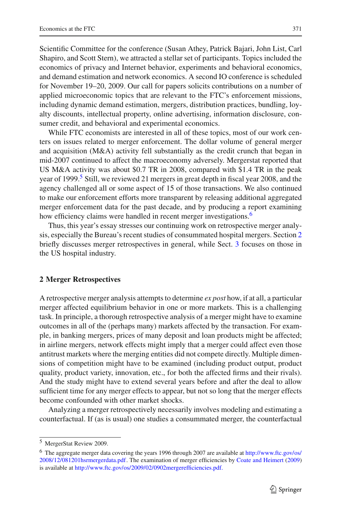Scientific Committee for the conference (Susan Athey, Patrick Bajari, John List, Carl Shapiro, and Scott Stern), we attracted a stellar set of participants. Topics included the economics of privacy and Internet behavior, experiments and behavioral economics, and demand estimation and network economics. A second IO conference is scheduled for November 19–20, 2009. Our call for papers solicits contributions on a number of applied microeconomic topics that are relevant to the FTC's enforcement missions, including dynamic demand estimation, mergers, distribution practices, bundling, loyalty discounts, intellectual property, online advertising, information disclosure, consumer credit, and behavioral and experimental economics.

While FTC economists are interested in all of these topics, most of our work centers on issues related to merger enforcement. The dollar volume of general merger and acquisition (M&A) activity fell substantially as the credit crunch that began in mid-2007 continued to affect the macroeconomy adversely. Mergerstat reported that US M&A activity was about \$0.7 TR in 2008, compared with \$1.4 TR in the peak year of 1999.<sup>5</sup> Still, we reviewed 21 mergers in great depth in fiscal year 2008, and the agency challenged all or some aspect of 15 of those transactions. We also continued to make our enforcement efforts more transparent by releasing additional aggregated merger enforcement data for the past decade, and by producing a report examining how efficiency claims were handled in recent merger investigations.<sup>[6](#page-2-1)</sup>

Thus, this year's essay stresses our continuing work on retrospective merger analysis, especially the Bureau's recent studies of consummated hospital mergers. Section [2](#page-2-2) briefly discusses merger retrospectives in general, while Sect. [3](#page-6-0) focuses on those in the US hospital industry.

## <span id="page-2-2"></span>**2 Merger Retrospectives**

A retrospective merger analysis attempts to determine *ex post* how, if at all, a particular merger affected equilibrium behavior in one or more markets. This is a challenging task. In principle, a thorough retrospective analysis of a merger might have to examine outcomes in all of the (perhaps many) markets affected by the transaction. For example, in banking mergers, prices of many deposit and loan products might be affected; in airline mergers, network effects might imply that a merger could affect even those antitrust markets where the merging entities did not compete directly. Multiple dimensions of competition might have to be examined (including product output, product quality, product variety, innovation, etc., for both the affected firms and their rivals). And the study might have to extend several years before and after the deal to allow sufficient time for any merger effects to appear, but not so long that the merger effects become confounded with other market shocks.

Analyzing a merger retrospectively necessarily involves modeling and estimating a counterfactual. If (as is usual) one studies a consummated merger, the counterfactual

<sup>5</sup> MergerStat Review 2009.

<span id="page-2-1"></span><span id="page-2-0"></span><sup>6</sup> The aggregate merger data covering the years 1996 through 2007 are available at [http://www.ftc.gov/os/](http://www.ftc.gov/os/2008/12/081201hsrmergerdata.pdf) [2008/12/081201hsrmergerdata.pdf.](http://www.ftc.gov/os/2008/12/081201hsrmergerdata.pdf) The examination of merger efficiencies by [Coate and Heimert](#page-15-2) [\(2009](#page-15-2)) is available at <http://www.ftc.gov/os/2009/02/0902mergerefficiencies.pdf.>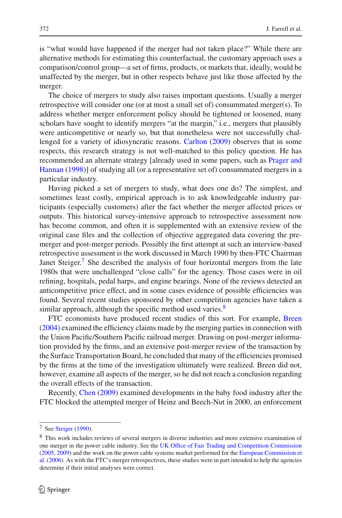is "what would have happened if the merger had not taken place?" While there are alternative methods for estimating this counterfactual, the customary approach uses a comparison/control group—a set of firms, products, or markets that, ideally, would be unaffected by the merger, but in other respects behave just like those affected by the merger.

The choice of mergers to study also raises important questions. Usually a merger retrospective will consider one (or at most a small set of) consummated merger(s). To address whether merger enforcement policy should be tightened or loosened, many scholars have sought to identify mergers "at the margin," i.e., mergers that plausibly were anticompetitive or nearly so, but that nonetheless were not successfully challenged for a variety of idiosyncratic reasons. [Carlton](#page-15-3) [\(2009\)](#page-15-3) observes that in some respects, this research strategy is not well-matched to this policy question. He has recom[mended](#page-16-2) [an](#page-16-2) [alternate](#page-16-2) [strategy](#page-16-2) [\[already](#page-16-2) [used](#page-16-2) [in](#page-16-2) [some](#page-16-2) [papers,](#page-16-2) [such](#page-16-2) [as](#page-16-2) Prager and Hannan [\(1998](#page-16-2))] of studying all (or a representative set of) consummated mergers in a particular industry.

Having picked a set of mergers to study, what does one do? The simplest, and sometimes least costly, empirical approach is to ask knowledgeable industry participants (especially customers) after the fact whether the merger affected prices or outputs. This historical survey-intensive approach to retrospective assessment now has become common, and often it is supplemented with an extensive review of the original case files and the collection of objective aggregated data covering the premerger and post-merger periods. Possibly the first attempt at such an interview-based retrospective assessment is the work discussed in March 1990 by then-FTC Chairman Janet Steiger.<sup>[7](#page-3-0)</sup> She described the analysis of four horizontal mergers from the late 1980s that were unchallenged "close calls" for the agency. Those cases were in oil refining, hospitals, pedal harps, and engine bearings. None of the reviews detected an anticompetitive price effect, and in some cases evidence of possible efficiencies was found. Several recent studies sponsored by other competition agencies have taken a similar approach, although the specific method used varies.<sup>[8](#page-3-1)</sup>

FTC economists have produced recent studies of this sort. For example, [Breen](#page-15-4) [\(2004\)](#page-15-4) examined the efficiency claims made by the merging parties in connection with the Union Pacific/Southern Pacific railroad merger. Drawing on post-merger information provided by the firms, and an extensive post-merger review of the transaction by the Surface Transportation Board, he concluded that many of the efficiencies promised by the firms at the time of the investigation ultimately were realized. Breen did not, however, examine all aspects of the merger, so he did not reach a conclusion regarding the overall effects of the transaction.

Recently, [Chen](#page-15-5) [\(2009](#page-15-5)) examined developments in the baby food industry after the FTC blocked the attempted merger of Heinz and Beech-Nut in 2000, an enforcement

<sup>7</sup> See [Steiger](#page-16-3) [\(1990](#page-16-3)).

<span id="page-3-1"></span><span id="page-3-0"></span><sup>8</sup> This work includes reviews of several mergers in diverse industries and more extensive examination of one merger in the power cable industry. See the [UK Office of Fair Trading and Competition Commission](#page-16-4) [\(2005](#page-16-4), [2009](#page-16-5)[\)](#page-15-6) [and](#page-15-6) [the](#page-15-6) [work](#page-15-6) [on](#page-15-6) [the](#page-15-6) [power](#page-15-6) [cable](#page-15-6) [systems](#page-15-6) [market](#page-15-6) [performed](#page-15-6) [for](#page-15-6) [the](#page-15-6) European Commission et al. [\(2006\)](#page-15-6). As with the FTC's merger retrospectives, these studies were in part intended to help the agencies determine if their initial analyses were correct.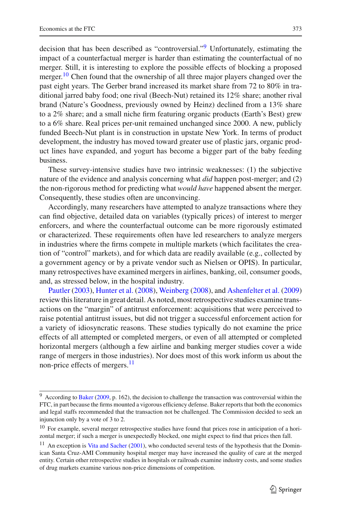decision that has been described as "controversial."[9](#page-4-0) Unfortunately, estimating the impact of a counterfactual merger is harder than estimating the counterfactual of no merger. Still, it is interesting to explore the possible effects of blocking a proposed merger.<sup>[10](#page-4-1)</sup> Chen found that the ownership of all three major players changed over the past eight years. The Gerber brand increased its market share from 72 to 80% in traditional jarred baby food; one rival (Beech-Nut) retained its 12% share; another rival brand (Nature's Goodness, previously owned by Heinz) declined from a 13% share to a 2% share; and a small niche firm featuring organic products (Earth's Best) grew to a 6% share. Real prices per-unit remained unchanged since 2000. A new, publicly funded Beech-Nut plant is in construction in upstate New York. In terms of product development, the industry has moved toward greater use of plastic jars, organic product lines have expanded, and yogurt has become a bigger part of the baby feeding business.

These survey-intensive studies have two intrinsic weaknesses: (1) the subjective nature of the evidence and analysis concerning what *did* happen post-merger; and (2) the non-rigorous method for predicting what *would have* happened absent the merger. Consequently, these studies often are unconvincing.

Accordingly, many researchers have attempted to analyze transactions where they can find objective, detailed data on variables (typically prices) of interest to merger enforcers, and where the counterfactual outcome can be more rigorously estimated or characterized. These requirements often have led researchers to analyze mergers in industries where the firms compete in multiple markets (which facilitates the creation of "control" markets), and for which data are readily available (e.g., collected by a government agency or by a private vendor such as Nielsen or OPIS). In particular, many retrospectives have examined mergers in airlines, banking, oil, consumer goods, [and,](#page-16-6) [as](#page-16-6) [str](#page-16-6)essed below, in the hospital industry.

Pautler [\(2003](#page-16-6)), [Hunter et al.](#page-15-7) [\(2008\)](#page-15-7), [Weinberg](#page-16-7) [\(2008](#page-16-7)), and [Ashenfelter et al.](#page-15-8) [\(2009\)](#page-15-8) review this literature in great detail. As noted, most retrospective studies examine transactions on the "margin" of antitrust enforcement: acquisitions that were perceived to raise potential antitrust issues, but did not trigger a successful enforcement action for a variety of idiosyncratic reasons. These studies typically do not examine the price effects of all attempted or completed mergers, or even of all attempted or completed horizontal mergers (although a few airline and banking merger studies cover a wide range of mergers in those industries). Nor does most of this work inform us about the non-price effects of mergers.<sup>11</sup>

<span id="page-4-0"></span><sup>&</sup>lt;sup>9</sup> According to [Baker](#page-15-9) [\(2009](#page-15-9), p. 162), the decision to challenge the transaction was controversial within the FTC, in part because the firms mounted a vigorous efficiency defense. Baker reports that both the economics and legal staffs recommended that the transaction not be challenged. The Commission decided to seek an injunction only by a vote of 3 to 2.

<sup>&</sup>lt;sup>10</sup> For example, several merger retrospective studies have found that prices rose in anticipation of a horizontal merger; if such a merger is unexpectedly blocked, one might expect to find that prices then fall.

<span id="page-4-2"></span><span id="page-4-1"></span> $11$  An exception is [Vita and Sacher](#page-16-8) [\(2001\)](#page-16-8), who conducted several tests of the hypothesis that the Dominican Santa Cruz-AMI Community hospital merger may have increased the quality of care at the merged entity. Certain other retrospective studies in hospitals or railroads examine industry costs, and some studies of drug markets examine various non-price dimensions of competition.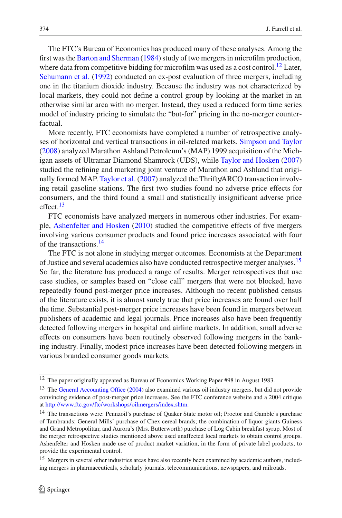The FTC's Bureau of Economics has produced many of these analyses. Among the first was the [Barton and Sherman](#page-15-10) [\(1984\)](#page-15-10) study of two mergers in microfilm production, where data from competitive bidding for microfilm was used as a cost control.<sup>12</sup> Later, [Schumann et al.](#page-16-9) [\(1992](#page-16-9)) conducted an ex-post evaluation of three mergers, including one in the titanium dioxide industry. Because the industry was not characterized by local markets, they could not define a control group by looking at the market in an otherwise similar area with no merger. Instead, they used a reduced form time series model of industry pricing to simulate the "but-for" pricing in the no-merger counterfactual.

More recently, FTC economists have completed a number of retrospective analyses of horizontal and vertical transactions in oil-related markets. [Simpson and Taylor](#page-16-10) [\(2008\)](#page-16-10) analyzed Marathon Ashland Petroleum's (MAP) 1999 acquisition of the Michigan assets of Ultramar Diamond Shamrock (UDS), while [Taylor and Hosken](#page-16-11) [\(2007\)](#page-16-11) studied the refining and marketing joint venture of Marathon and Ashland that originally formed MAP. [Taylor et al.](#page-16-12) [\(2007\)](#page-16-12) analyzed the Thrifty/ARCO transaction involving retail gasoline stations. The first two studies found no adverse price effects for consumers, and the third found a small and statistically insignificant adverse price effect.[13](#page-5-1)

FTC economists have analyzed mergers in numerous other industries. For example, [Ashenfelter and Hosken](#page-15-11) [\(2010\)](#page-15-11) studied the competitive effects of five mergers involving various consumer products and found price increases associated with four of the transactions.<sup>14</sup>

The FTC is not alone in studying merger outcomes. Economists at the Department of Justice and several academics also have conducted retrospective merger analyses.[15](#page-5-3) So far, the literature has produced a range of results. Merger retrospectives that use case studies, or samples based on "close call" mergers that were not blocked, have repeatedly found post-merger price increases. Although no recent published census of the literature exists, it is almost surely true that price increases are found over half the time. Substantial post-merger price increases have been found in mergers between publishers of academic and legal journals. Price increases also have been frequently detected following mergers in hospital and airline markets. In addition, small adverse effects on consumers have been routinely observed following mergers in the banking industry. Finally, modest price increases have been detected following mergers in various branded consumer goods markets.

<sup>&</sup>lt;sup>12</sup> The paper originally appeared as Bureau of Economics Working Paper #98 in August 1983.

<span id="page-5-1"></span><span id="page-5-0"></span><sup>&</sup>lt;sup>13</sup> The [General Accounting Office](#page-15-12) [\(2004](#page-15-12)) also examined various oil industry mergers, but did not provide convincing evidence of post-merger price increases. See the FTC conference website and a 2004 critique at <http://www.ftc.gov/ftc/workshops/oilmergers/index.shtm.>

<span id="page-5-2"></span><sup>&</sup>lt;sup>14</sup> The transactions were: Pennzoil's purchase of Quaker State motor oil; Proctor and Gamble's purchase of Tambrands; General Mills' purchase of Chex cereal brands; the combination of liquor giants Guiness and Grand Metropolitan; and Aurora's (Mrs. Butterworth) purchase of Log Cabin breakfast syrup. Most of the merger retrospective studies mentioned above used unaffected local markets to obtain control groups. Ashenfelter and Hosken made use of product market variation, in the form of private label products, to provide the experimental control.

<span id="page-5-3"></span><sup>&</sup>lt;sup>15</sup> Mergers in several other industries areas have also recently been examined by academic authors, including mergers in pharmaceuticals, scholarly journals, telecommunications, newspapers, and railroads.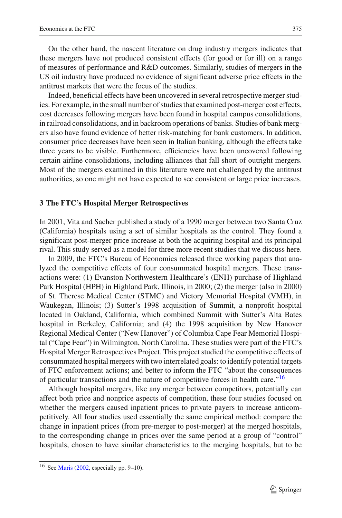On the other hand, the nascent literature on drug industry mergers indicates that these mergers have not produced consistent effects (for good or for ill) on a range of measures of performance and R&D outcomes. Similarly, studies of mergers in the US oil industry have produced no evidence of significant adverse price effects in the antitrust markets that were the focus of the studies.

Indeed, beneficial effects have been uncovered in several retrospective merger studies. For example, in the small number of studies that examined post-merger cost effects, cost decreases following mergers have been found in hospital campus consolidations, in railroad consolidations, and in backroom operations of banks. Studies of bank mergers also have found evidence of better risk-matching for bank customers. In addition, consumer price decreases have been seen in Italian banking, although the effects take three years to be visible. Furthermore, efficiencies have been uncovered following certain airline consolidations, including alliances that fall short of outright mergers. Most of the mergers examined in this literature were not challenged by the antitrust authorities, so one might not have expected to see consistent or large price increases.

#### <span id="page-6-0"></span>**3 The FTC's Hospital Merger Retrospectives**

In 2001, Vita and Sacher published a study of a 1990 merger between two Santa Cruz (California) hospitals using a set of similar hospitals as the control. They found a significant post-merger price increase at both the acquiring hospital and its principal rival. This study served as a model for three more recent studies that we discuss here.

In 2009, the FTC's Bureau of Economics released three working papers that analyzed the competitive effects of four consummated hospital mergers. These transactions were: (1) Evanston Northwestern Healthcare's (ENH) purchase of Highland Park Hospital (HPH) in Highland Park, Illinois, in 2000; (2) the merger (also in 2000) of St. Therese Medical Center (STMC) and Victory Memorial Hospital (VMH), in Waukegan, Illinois; (3) Sutter's 1998 acquisition of Summit, a nonprofit hospital located in Oakland, California, which combined Summit with Sutter's Alta Bates hospital in Berkeley, California; and (4) the 1998 acquisition by New Hanover Regional Medical Center ("New Hanover") of Columbia Cape Fear Memorial Hospital ("Cape Fear") in Wilmington, North Carolina. These studies were part of the FTC's Hospital Merger Retrospectives Project. This project studied the competitive effects of consummated hospital mergers with two interrelated goals: to identify potential targets of FTC enforcement actions; and better to inform the FTC "about the consequences of particular transactions and the nature of competitive forces in health care.["16](#page-6-1)

Although hospital mergers, like any merger between competitors, potentially can affect both price and nonprice aspects of competition, these four studies focused on whether the mergers caused inpatient prices to private payers to increase anticompetitively. All four studies used essentially the same empirical method: compare the change in inpatient prices (from pre-merger to post-merger) at the merged hospitals, to the corresponding change in prices over the same period at a group of "control" hospitals, chosen to have similar characteristics to the merging hospitals, but to be

<span id="page-6-1"></span><sup>16</sup> See [Muris](#page-16-13) [\(2002](#page-16-13), especially pp. 9–10).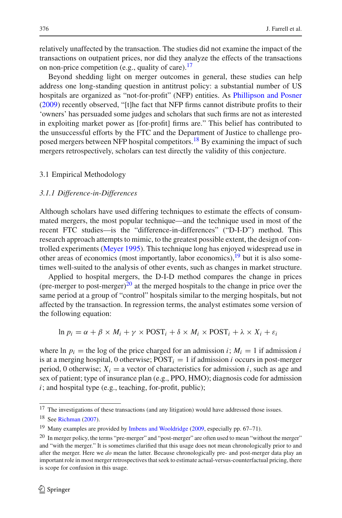relatively unaffected by the transaction. The studies did not examine the impact of the transactions on outpatient prices, nor did they analyze the effects of the transactions on non-price competition (e.g., quality of care). $17$ 

Beyond shedding light on merger outcomes in general, these studies can help address one long-standing question in antitrust policy: a substantial number of US hospitals are organized as "not-for-profit" (NFP) entities. As [Phillipson and Posner](#page-16-14) [\(2009\)](#page-16-14) recently observed, "[t]he fact that NFP firms cannot distribute profits to their 'owners' has persuaded some judges and scholars that such firms are not as interested in exploiting market power as [for-profit] firms are." This belief has contributed to the unsuccessful efforts by the FTC and the Department of Justice to challenge pro-posed mergers between NFP hospital competitors.<sup>[18](#page-7-1)</sup> By examining the impact of such mergers retrospectively, scholars can test directly the validity of this conjecture.

#### 3.1 Empirical Methodology

#### *3.1.1 Difference-in-Differences*

Although scholars have used differing techniques to estimate the effects of consummated mergers, the most popular technique—and the technique used in most of the recent FTC studies—is the "difference-in-differences" ("D-I-D") method. This research approach attempts to mimic, to the greatest possible extent, the design of controlled experiments [\(Meyer 1995\)](#page-16-15). This technique long has enjoyed widespread use in other areas of economics (most importantly, labor economics)[,19](#page-7-2) but it is also sometimes well-suited to the analysis of other events, such as changes in market structure.

Applied to hospital mergers, the D-I-D method compares the change in prices (pre-merger to post-merger) $^{20}$  $^{20}$  $^{20}$  at the merged hospitals to the change in price over the same period at a group of "control" hospitals similar to the merging hospitals, but not affected by the transaction. In regression terms, the analyst estimates some version of the following equation:

$$
\ln p_i = \alpha + \beta \times M_i + \gamma \times \text{POST}_i + \delta \times M_i \times \text{POST}_i + \lambda \times X_i + \varepsilon_i
$$

where ln  $p_i$  = the log of the price charged for an admission *i*;  $M_i = 1$  if admission *i* is at a merging hospital, 0 otherwise;  $\text{POST}_i = 1$  if admission *i* occurs in post-merger period, 0 otherwise;  $X_i = a$  vector of characteristics for admission *i*, such as age and sex of patient; type of insurance plan (e.g., PPO, HMO); diagnosis code for admission *i*; and hospital type (e.g., teaching, for-profit, public);

<sup>&</sup>lt;sup>17</sup> The investigations of these transactions (and any litigation) would have addressed those issues.

<span id="page-7-0"></span><sup>&</sup>lt;sup>18</sup> See [Richman](#page-16-16) [\(2007\)](#page-16-16).

<span id="page-7-1"></span><sup>&</sup>lt;sup>19</sup> Many examples are provided by [Imbens and Wooldridge](#page-16-17) [\(2009,](#page-16-17) especially pp. 67–71).

<span id="page-7-3"></span><span id="page-7-2"></span><sup>&</sup>lt;sup>20</sup> In merger policy, the terms "pre-merger" and "post-merger" are often used to mean "without the merger" and "with the merger." It is sometimes clarified that this usage does not mean chronologically prior to and after the merger. Here we *do* mean the latter. Because chronologically pre- and post-merger data play an important role in most merger retrospectives that seek to estimate actual-versus-counterfactual pricing, there is scope for confusion in this usage.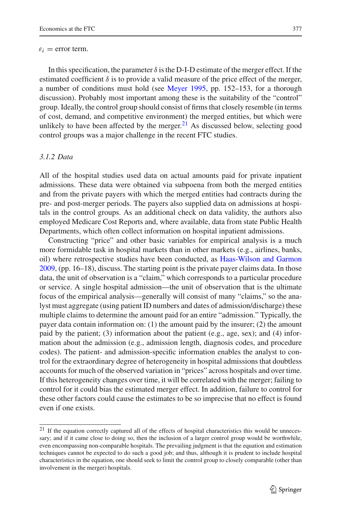#### $\varepsilon_i$  = error term.

In this specification, the parameter  $\delta$  is the D-I-D estimate of the merger effect. If the estimated coefficient  $\delta$  is to provide a valid measure of the price effect of the merger, a number of conditions must hold (see [Meyer 1995,](#page-16-15) pp. 152–153, for a thorough discussion). Probably most important among these is the suitability of the "control" group. Ideally, the control group should consist of firms that closely resemble (in terms of cost, demand, and competitive environment) the merged entities, but which were unlikely to have been affected by the merger.<sup>21</sup> As discussed below, selecting good control groups was a major challenge in the recent FTC studies.

#### *3.1.2 Data*

All of the hospital studies used data on actual amounts paid for private inpatient admissions. These data were obtained via subpoena from both the merged entities and from the private payers with which the merged entities had contracts during the pre- and post-merger periods. The payers also supplied data on admissions at hospitals in the control groups. As an additional check on data validity, the authors also employed Medicare Cost Reports and, where available, data from state Public Health Departments, which often collect information on hospital inpatient admissions.

Constructing "price" and other basic variables for empirical analysis is a much more formidable task in hospital markets than in other markets (e.g., airlines, banks, oil) where retrospective studies have been conducted, as [Haas-Wilson and Garmon](#page-15-13) [2009,](#page-15-13) (pp. 16–18), discuss. The starting point is the private payer claims data. In those data, the unit of observation is a "claim," which corresponds to a particular procedure or service. A single hospital admission—the unit of observation that is the ultimate focus of the empirical analysis—generally will consist of many "claims," so the analyst must aggregate (using patient ID numbers and dates of admission/discharge) these multiple claims to determine the amount paid for an entire "admission." Typically, the payer data contain information on: (1) the amount paid by the insurer; (2) the amount paid by the patient; (3) information about the patient (e.g., age, sex); and (4) information about the admission (e.g., admission length, diagnosis codes, and procedure codes). The patient- and admission-specific information enables the analyst to control for the extraordinary degree of heterogeneity in hospital admissions that doubtless accounts for much of the observed variation in "prices" across hospitals and over time. If this heterogeneity changes over time, it will be correlated with the merger; failing to control for it could bias the estimated merger effect. In addition, failure to control for these other factors could cause the estimates to be so imprecise that no effect is found even if one exists.

<span id="page-8-0"></span><sup>21</sup> If the equation correctly captured all of the effects of hospital characteristics this would be unnecessary; and if it came close to doing so, then the inclusion of a larger control group would be worthwhile, even encompassing non-comparable hospitals. The prevailing judgment is that the equation and estimation techniques cannot be expected to do such a good job; and thus, although it is prudent to include hospital characteristics in the equation, one should seek to limit the control group to closely comparable (other than involvement in the merger) hospitals.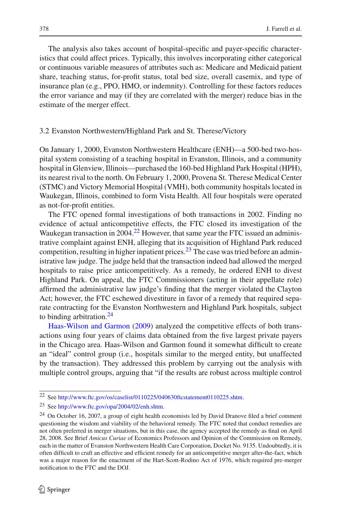The analysis also takes account of hospital-specific and payer-specific characteristics that could affect prices. Typically, this involves incorporating either categorical or continuous variable measures of attributes such as: Medicare and Medicaid patient share, teaching status, for-profit status, total bed size, overall casemix, and type of insurance plan (e.g., PPO, HMO, or indemnity). Controlling for these factors reduces the error variance and may (if they are correlated with the merger) reduce bias in the estimate of the merger effect.

#### 3.2 Evanston Northwestern/Highland Park and St. Therese/Victory

On January 1, 2000, Evanston Northwestern Healthcare (ENH)—a 500-bed two-hospital system consisting of a teaching hospital in Evanston, Illinois, and a community hospital in Glenview, Illinois—purchased the 160-bed Highland Park Hospital (HPH), its nearest rival to the north. On February 1, 2000, Provena St. Therese Medical Center (STMC) and Victory Memorial Hospital (VMH), both community hospitals located in Waukegan, Illinois, combined to form Vista Health. All four hospitals were operated as not-for-profit entities.

The FTC opened formal investigations of both transactions in 2002. Finding no evidence of actual anticompetitive effects, the FTC closed its investigation of the Waukegan transaction in 2004.<sup>[22](#page-9-0)</sup> However, that same year the FTC issued an administrative complaint against ENH, alleging that its acquisition of Highland Park reduced competition, resulting in higher inpatient prices.<sup>23</sup> The case was tried before an administrative law judge. The judge held that the transaction indeed had allowed the merged hospitals to raise price anticompetitively. As a remedy, he ordered ENH to divest Highland Park. On appeal, the FTC Commissioners (acting in their appellate role) affirmed the administrative law judge's finding that the merger violated the Clayton Act; however, the FTC eschewed divestiture in favor of a remedy that required separate contracting for the Evanston Northwestern and Highland Park hospitals, subject to binding arbitration. $^{24}$  $^{24}$  $^{24}$ 

Haas-Wilson and Garmon [\(2009](#page-15-13)) analyzed the competitive effects of both transactions using four years of claims data obtained from the five largest private payers in the Chicago area. Haas-Wilson and Garmon found it somewhat difficult to create an "ideal" control group (i.e., hospitals similar to the merged entity, but unaffected by the transaction). They addressed this problem by carrying out the analysis with multiple control groups, arguing that "if the results are robust across multiple control

<sup>22</sup> See [http://www.ftc.gov/os/caselist/0110225/040630ftcstatement0110225.shtm.](http://www.ftc.gov/os/caselist/0110225/040630ftcstatement0110225.shtm)

<span id="page-9-0"></span><sup>23</sup> See [http://www.ftc.gov/opa/2004/02/enh.shtm.](http://www.ftc.gov/opa/2004/02/enh.shtm)

<span id="page-9-2"></span><span id="page-9-1"></span><sup>&</sup>lt;sup>24</sup> On October 16, 2007, a group of eight health economists led by David Dranove filed a brief comment questioning the wisdom and viability of the behavioral remedy. The FTC noted that conduct remedies are not often preferred in merger situations, but in this case, the agency accepted the remedy as final on April 28, 2008. See Brief *Amicus Curiae* of Economics Professors and Opinion of the Commission on Remedy, each in the matter of Evanston Northwestern Health Care Corporation, Docket No. 9135. Undoubtedly, it is often difficult to craft an effective and efficient remedy for an anticompetitive merger after-the-fact, which was a major reason for the enactment of the Hart-Scott-Rodino Act of 1976, which required pre-merger notification to the FTC and the DOJ.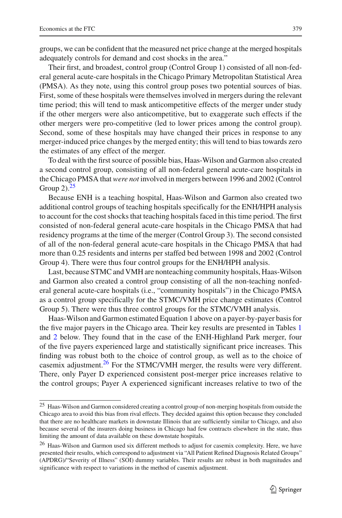groups, we can be confident that the measured net price change at the merged hospitals adequately controls for demand and cost shocks in the area."

Their first, and broadest, control group (Control Group 1) consisted of all non-federal general acute-care hospitals in the Chicago Primary Metropolitan Statistical Area (PMSA). As they note, using this control group poses two potential sources of bias. First, some of these hospitals were themselves involved in mergers during the relevant time period; this will tend to mask anticompetitive effects of the merger under study if the other mergers were also anticompetitive, but to exaggerate such effects if the other mergers were pro-competitive (led to lower prices among the control group). Second, some of these hospitals may have changed their prices in response to any merger-induced price changes by the merged entity; this will tend to bias towards zero the estimates of any effect of the merger.

To deal with the first source of possible bias, Haas-Wilson and Garmon also created a second control group, consisting of all non-federal general acute-care hospitals in the Chicago PMSA that *were not* involved in mergers between 1996 and 2002 (Control Group  $2$ ).<sup>[25](#page-10-0)</sup>

Because ENH is a teaching hospital, Haas-Wilson and Garmon also created two additional control groups of teaching hospitals specifically for the ENH/HPH analysis to account for the cost shocks that teaching hospitals faced in this time period. The first consisted of non-federal general acute-care hospitals in the Chicago PMSA that had residency programs at the time of the merger (Control Group 3). The second consisted of all of the non-federal general acute-care hospitals in the Chicago PMSA that had more than 0.25 residents and interns per staffed bed between 1998 and 2002 (Control Group 4). There were thus four control groups for the ENH/HPH analysis.

Last, because STMC and VMH are nonteaching community hospitals, Haas-Wilson and Garmon also created a control group consisting of all the non-teaching nonfederal general acute-care hospitals (i.e., "community hospitals") in the Chicago PMSA as a control group specifically for the STMC/VMH price change estimates (Control Group 5). There were thus three control groups for the STMC/VMH analysis.

Haas-Wilson and Garmon estimated Equation 1 above on a payer-by-payer basis for the five major payers in the Chicago area. Their key results are presented in Tables [1](#page-11-0) and [2](#page-11-1) below. They found that in the case of the ENH-Highland Park merger, four of the five payers experienced large and statistically significant price increases. This finding was robust both to the choice of control group, as well as to the choice of casemix adjustment. $26$  For the STMC/VMH merger, the results were very different. There, only Payer D experienced consistent post-merger price increases relative to the control groups; Payer A experienced significant increases relative to two of the

<span id="page-10-0"></span><sup>&</sup>lt;sup>25</sup> Haas-Wilson and Garmon considered creating a control group of non-merging hospitals from outside the Chicago area to avoid this bias from rival effects. They decided against this option because they concluded that there are no healthcare markets in downstate Illinois that are sufficiently similar to Chicago, and also because several of the insurers doing business in Chicago had few contracts elsewhere in the state, thus limiting the amount of data available on these downstate hospitals.

<span id="page-10-1"></span><sup>&</sup>lt;sup>26</sup> Haas-Wilson and Garmon used six different methods to adjust for casemix complexity. Here, we have presented their results, which correspond to adjustment via "All Patient Refined Diagnosis Related Groups" (APDRG)/"Severity of Illness" (SOI) dummy variables. Their results are robust in both magnitudes and significance with respect to variations in the method of casemix adjustment.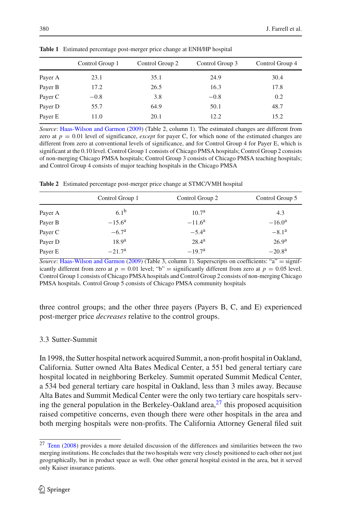<span id="page-11-0"></span>

|         | Control Group 1 | Control Group 2 | Control Group 3 | Control Group 4 |
|---------|-----------------|-----------------|-----------------|-----------------|
| Payer A | 23.1            | 35.1            | 24.9            | 30.4            |
| Payer B | 17.2            | 26.5            | 16.3            | 17.8            |
| Payer C | $-0.8$          | 3.8             | $-0.8$          | 0.2             |
| Payer D | 55.7            | 64.9            | 50.1            | 48.7            |
| Payer E | 11.0            | 20.1            | 12.2            | 15.2            |

**Table 1** Estimated percentage post-merger price change at ENH/HP hospital

*Source*: [Haas-Wilson and Garmon](#page-15-13) [\(2009\)](#page-15-13) (Table 2, column 1). The estimated changes are different from zero at *p* = 0.01 level of significance, *except* for payer C, for which none of the estimated changes are different from zero at conventional levels of significance, and for Control Group 4 for Payer E, which is significant at the 0.10 level. Control Group 1 consists of Chicago PMSA hospitals; Control Group 2 consists of non-merging Chicago PMSA hospitals; Control Group 3 consists of Chicago PMSA teaching hospitals; and Control Group 4 consists of major teaching hospitals in the Chicago PMSA

**Table 2** Estimated percentage post-merger price change at STMC/VMH hospital

<span id="page-11-1"></span>

|         | Control Group 1   | Control Group 2   | Control Group 5   |
|---------|-------------------|-------------------|-------------------|
| Payer A | $6.1^{b}$         | 10.7 <sup>a</sup> | 4.3               |
| Payer B | $-15.6^{\rm a}$   | $-11.6^{\rm a}$   | $-16.0^{\rm a}$   |
| Payer C | $-6.7a$           | $-5.4^{\rm a}$    | $-8.1^{\rm a}$    |
| Payer D | 18.9 <sup>a</sup> | $28.4^{a}$        | 26.9 <sup>a</sup> |
| Payer E | $-21.7^{\rm a}$   | $-19.7a$          | $-20.8a$          |

*Source*: [Haas-Wilson and Garmon](#page-15-13) [\(2009](#page-15-13)) (Table 3, column 1). Superscripts on coefficients: "a" = significantly different from zero at  $p = 0.01$  level; "b" = significantly different from zero at  $p = 0.05$  level. Control Group 1 consists of Chicago PMSA hospitals and Control Group 2 consists of non-merging Chicago PMSA hospitals. Control Group 5 consists of Chicago PMSA community hospitals

three control groups; and the other three payers (Payers B, C, and E) experienced post-merger price *decreases* relative to the control groups.

# 3.3 Sutter-Summit

In 1998, the Sutter hospital network acquired Summit, a non-profit hospital in Oakland, California. Sutter owned Alta Bates Medical Center, a 551 bed general tertiary care hospital located in neighboring Berkeley. Summit operated Summit Medical Center, a 534 bed general tertiary care hospital in Oakland, less than 3 miles away. Because Alta Bates and Summit Medical Center were the only two tertiary care hospitals serving the general population in the Berkeley-Oakland area, $^{27}$  this proposed acquisition raised competitive concerns, even though there were other hospitals in the area and both merging hospitals were non-profits. The California Attorney General filed suit

<span id="page-11-2"></span><sup>27</sup> [Tenn](#page-16-18) [\(2008](#page-16-18)) provides a more detailed discussion of the differences and similarities between the two merging institutions. He concludes that the two hospitals were very closely positioned to each other not just geographically, but in product space as well. One other general hospital existed in the area, but it served only Kaiser insurance patients.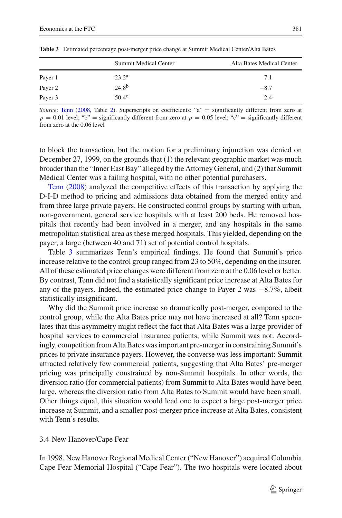|         | <b>Summit Medical Center</b> | Alta Bates Medical Center |
|---------|------------------------------|---------------------------|
| Payer 1 | 23.2 <sup>a</sup>            | 7.1                       |
| Payer 2 | $24.8^{b}$                   | $-8.7$                    |
| Payer 3 | $50.4^\circ$                 | $-2.4$                    |

<span id="page-12-0"></span>**Table 3** Estimated percentage post-merger price change at Summit Medical Center/Alta Bates

*Source*: [Tenn](#page-16-18) [\(2008,](#page-16-18) Table [2\)](#page-11-1). Superscripts on coefficients: "a" = significantly different from zero at  $p = 0.01$  level; "b" = significantly different from zero at  $p = 0.05$  level; "c" = significantly different from zero at the 0.06 level

to block the transaction, but the motion for a preliminary injunction was denied on December 27, 1999, on the grounds that (1) the relevant geographic market was much broader than the "Inner East Bay" alleged by the Attorney General, and (2) that Summit [Medical](#page-16-18) Center was a failing hospital, with no other potential purchasers.

Tenn [\(2008](#page-16-18)) analyzed the competitive effects of this transaction by applying the D-I-D method to pricing and admissions data obtained from the merged entity and from three large private payers. He constructed control groups by starting with urban, non-government, general service hospitals with at least 200 beds. He removed hospitals that recently had been involved in a merger, and any hospitals in the same metropolitan statistical area as these merged hospitals. This yielded, depending on the payer, a large (between 40 and 71) set of potential control hospitals.

Table [3](#page-12-0) summarizes Tenn's empirical findings. He found that Summit's price increase relative to the control group ranged from 23 to 50%, depending on the insurer. All of these estimated price changes were different from zero at the 0.06 level or better. By contrast, Tenn did not find a statistically significant price increase at Alta Bates for any of the payers. Indeed, the estimated price change to Payer 2 was −8.7%, albeit statistically insignificant.

Why did the Summit price increase so dramatically post-merger, compared to the control group, while the Alta Bates price may not have increased at all? Tenn speculates that this asymmetry might reflect the fact that Alta Bates was a large provider of hospital services to commercial insurance patients, while Summit was not. Accordingly, competition from Alta Bates was important pre-merger in constraining Summit's prices to private insurance payers. However, the converse was less important: Summit attracted relatively few commercial patients, suggesting that Alta Bates' pre-merger pricing was principally constrained by non-Summit hospitals. In other words, the diversion ratio (for commercial patients) from Summit to Alta Bates would have been large, whereas the diversion ratio from Alta Bates to Summit would have been small. Other things equal, this situation would lead one to expect a large post-merger price increase at Summit, and a smaller post-merger price increase at Alta Bates, consistent with Tenn's results.

## 3.4 New Hanover/Cape Fear

In 1998, New Hanover Regional Medical Center ("New Hanover") acquired Columbia Cape Fear Memorial Hospital ("Cape Fear"). The two hospitals were located about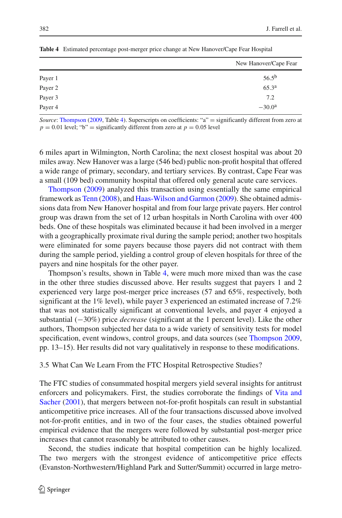|         | New Hanover/Cape Fear |
|---------|-----------------------|
| Payer 1 | $56.5^{b}$            |
| Payer 2 | $65.3^{a}$            |
| Payer 3 | 7.2                   |
| Payer 4 | $-30.0^{\rm a}$       |

<span id="page-13-0"></span>**Table 4** Estimated percentage post-merger price change at New Hanover/Cape Fear Hospital

*Source*: [Thompson](#page-16-19) [\(2009](#page-16-19), Table [4\)](#page-13-0). Superscripts on coefficients: "a" = significantly different from zero at  $p = 0.01$  level; "b" = significantly different from zero at  $p = 0.05$  level

6 miles apart in Wilmington, North Carolina; the next closest hospital was about 20 miles away. New Hanover was a large (546 bed) public non-profit hospital that offered a wide range of primary, secondary, and tertiary services. By contrast, Cape Fear was [a](#page-16-19) [small](#page-16-19) [\(109](#page-16-19) [b](#page-16-19)ed) community hospital that offered only general acute care services.

Thompson [\(2009](#page-16-19)) analyzed this transaction using essentially the same empirical framework as [Tenn](#page-16-18) [\(2008\)](#page-16-18), and [Haas-Wilson and Garmon](#page-15-13) [\(2009\)](#page-15-13). She obtained admissions data from New Hanover hospital and from four large private payers. Her control group was drawn from the set of 12 urban hospitals in North Carolina with over 400 beds. One of these hospitals was eliminated because it had been involved in a merger with a geographically proximate rival during the sample period; another two hospitals were eliminated for some payers because those payers did not contract with them during the sample period, yielding a control group of eleven hospitals for three of the payers and nine hospitals for the other payer.

Thompson's results, shown in Table [4,](#page-13-0) were much more mixed than was the case in the other three studies discussed above. Her results suggest that payers 1 and 2 experienced very large post-merger price increases (57 and 65%, respectively, both significant at the 1% level), while payer 3 experienced an estimated increase of 7.2% that was not statistically significant at conventional levels, and payer 4 enjoyed a substantial (−30%) price *decrease* (significant at the 1 percent level). Like the other authors, Thompson subjected her data to a wide variety of sensitivity tests for model specification, event windows, control groups, and data sources (see [Thompson 2009,](#page-16-19) pp. 13–15). Her results did not vary qualitatively in response to these modifications.

3.5 What Can We Learn From the FTC Hospital Retrospective Studies?

The FTC studies of consummated hospital mergers yield several insights for antitrust enforc[ers](#page-16-8) [and](#page-16-8) [policymakers.](#page-16-8) [First,](#page-16-8) [the](#page-16-8) [studies](#page-16-8) [corroborate](#page-16-8) [the](#page-16-8) [findings](#page-16-8) [of](#page-16-8) Vita and Sacher [\(2001\)](#page-16-8), that mergers between not-for-profit hospitals can result in substantial anticompetitive price increases. All of the four transactions discussed above involved not-for-profit entities, and in two of the four cases, the studies obtained powerful empirical evidence that the mergers were followed by substantial post-merger price increases that cannot reasonably be attributed to other causes.

Second, the studies indicate that hospital competition can be highly localized. The two mergers with the strongest evidence of anticompetitive price effects (Evanston-Northwestern/Highland Park and Sutter/Summit) occurred in large metro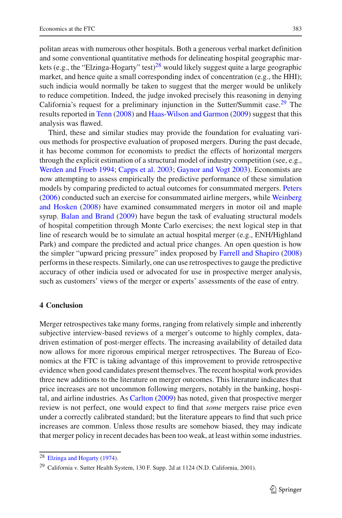politan areas with numerous other hospitals. Both a generous verbal market definition and some conventional quantitative methods for delineating hospital geographic markets (e.g., the "Elzinga-Hogarty" test)<sup>28</sup> would likely suggest quite a large geographic market, and hence quite a small corresponding index of concentration (e.g., the HHI); such indicia would normally be taken to suggest that the merger would be unlikely to reduce competition. Indeed, the judge invoked precisely this reasoning in denying California's request for a preliminary injunction in the Sutter/Summit case.<sup>29</sup> The results reported in [Tenn](#page-16-18) [\(2008](#page-16-18)) and [Haas-Wilson and Garmon](#page-15-13) [\(2009](#page-15-13)) suggest that this analysis was flawed.

Third, these and similar studies may provide the foundation for evaluating various methods for prospective evaluation of proposed mergers. During the past decade, it has become common for economists to predict the effects of horizontal mergers through the explicit estimation of a structural model of industry competition (see, e.g., [Werden and Froeb 1994;](#page-16-20) [Capps et al. 2003](#page-15-14); [Gaynor and Vogt 2003](#page-15-15)). Economists are now attempting to assess empirically the predictive performance of these simulation models by comparing predicted to actual outcomes for consummated mergers. [Peters](#page-16-21) [\(2006\)](#page-16-21) cond[ucted](#page-16-22) [such](#page-16-22) [an](#page-16-22) [exercise](#page-16-22) [for](#page-16-22) [consummated](#page-16-22) [airline](#page-16-22) [mergers,](#page-16-22) [while](#page-16-22) Weinberg and Hosken [\(2008](#page-16-22)) have examined consummated mergers in motor oil and maple syrup. [Balan and Brand](#page-15-16) [\(2009](#page-15-16)) have begun the task of evaluating structural models of hospital competition through Monte Carlo exercises; the next logical step in that line of research would be to simulate an actual hospital merger (e.g., ENH/Highland Park) and compare the predicted and actual price changes. An open question is how the simpler "upward pricing pressure" index proposed by [Farrell and Shapiro](#page-15-17) [\(2008\)](#page-15-17) performs in these respects. Similarly, one can use retrospectives to gauge the predictive accuracy of other indicia used or advocated for use in prospective merger analysis, such as customers' views of the merger or experts' assessments of the ease of entry.

## **4 Conclusion**

Merger retrospectives take many forms, ranging from relatively simple and inherently subjective interview-based reviews of a merger's outcome to highly complex, datadriven estimation of post-merger effects. The increasing availability of detailed data now allows for more rigorous empirical merger retrospectives. The Bureau of Economics at the FTC is taking advantage of this improvement to provide retrospective evidence when good candidates present themselves. The recent hospital work provides three new additions to the literature on merger outcomes. This literature indicates that price increases are not uncommon following mergers, notably in the banking, hospital, and airline industries. As [Carlton](#page-15-3) [\(2009\)](#page-15-3) has noted, given that prospective merger review is not perfect, one would expect to find that *some* mergers raise price even under a correctly calibrated standard; but the literature appears to find that such price increases are common. Unless those results are somehow biased, they may indicate that merger policy in recent decades has been too weak, at least within some industries.

<sup>28</sup> [Elzinga and Hogarty](#page-15-18) [\(1974\)](#page-15-18).

<span id="page-14-1"></span><span id="page-14-0"></span><sup>29</sup> California v. Sutter Health System, 130 F. Supp. 2d at 1124 (N.D. California, 2001).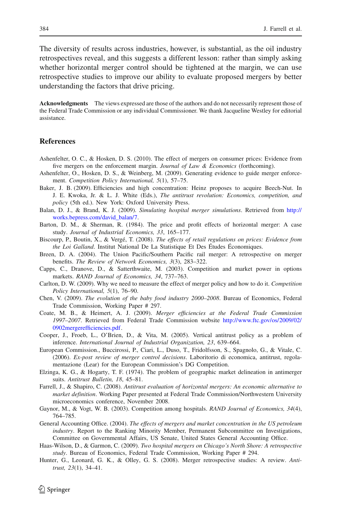The diversity of results across industries, however, is substantial, as the oil industry retrospectives reveal, and this suggests a different lesson: rather than simply asking whether horizontal merger control should be tightened at the margin, we can use retrospective studies to improve our ability to evaluate proposed mergers by better understanding the factors that drive pricing.

**Acknowledgments** The views expressed are those of the authors and do not necessarily represent those of the Federal Trade Commission or any individual Commissioner. We thank Jacqueline Westley for editorial assistance.

#### **References**

- <span id="page-15-11"></span>Ashenfelter, O. C., & Hosken, D. S. (2010). The effect of mergers on consumer prices: Evidence from five mergers on the enforcement margin. *Journal of Law & Economics* (forthcoming).
- <span id="page-15-8"></span>Ashenfelter, O., Hosken, D. S., & Weinberg, M. (2009). Generating evidence to guide merger enforcement. *Competition Policy International, 5*(1), 57–75.
- <span id="page-15-9"></span>Baker, J. B. (2009). Efficiencies and high concentration: Heinz proposes to acquire Beech-Nut. In J. E. Kwoka, Jr. & L. J. White (Eds.), *The antitrust revolution: Economics, competition, and policy* (5th ed.). New York: Oxford University Press.
- <span id="page-15-16"></span>Balan, D. J., & Brand, K. J. (2009). *Simulating hospital merger simulations*. Retrieved from [http://](http://works.bepress.com/david_balan/7) [works.bepress.com/david\\_balan/7.](http://works.bepress.com/david_balan/7)
- <span id="page-15-10"></span>Barton, D. M., & Sherman, R. (1984). The price and profit effects of horizontal merger: A case study. *Journal of Industrial Economics, 33*, 165–177.
- <span id="page-15-1"></span>Biscourp, P., Boutin, X., & Vergé, T. (2008). *The effects of retail regulations on prices: Evidence from the Loi Galland*. Institut National De La Statistique Et Des Études Économiques.
- <span id="page-15-4"></span>Breen, D. A. (2004). The Union Pacific/Southern Pacific rail merger: A retrospective on merger benefits. *The Review of Network Economics, 3*(3), 283–322.
- <span id="page-15-14"></span>Capps, C., Dranove, D., & Satterthwaite, M. (2003). Competition and market power in options markets. *RAND Journal of Economics, 34*, 737–763.
- <span id="page-15-3"></span>Carlton, D. W. (2009). Why we need to measure the effect of merger policy and how to do it. *Competition Policy International, 5*(1), 76–90.
- <span id="page-15-5"></span>Chen, V. (2009). *The evolution of the baby food industry 2000–2008*. Bureau of Economics, Federal Trade Commission, Working Paper # 297.
- <span id="page-15-2"></span>Coate, M. B., & Heimert, A. J. (2009). *Merger efficiencies at the Federal Trade Commission 1997–2007*. Retrieved from Federal Trade Commission website [http://www.ftc.gov/os/2009/02/](http://www.ftc.gov/os/2009/02/0902mergerefficiencies.pdf) [0902mergerefficiencies.pdf.](http://www.ftc.gov/os/2009/02/0902mergerefficiencies.pdf)
- <span id="page-15-0"></span>Cooper, J., Froeb, L., O'Brien, D., & Vita, M. (2005). Vertical antitrust policy as a problem of inference. *International Journal of Industrial Organization, 23*, 639–664.
- <span id="page-15-6"></span>European Commission., Buccirossi, P., Ciari, L., Duso, T., Fridolfsson, S., Spagnolo, G., & Vitale, C. (2006). *Ex-post review of merger control decisions*. Laboritorio di economica, antitrust, regolamentazione (Lear) for the European Commission's DG Competition.
- <span id="page-15-18"></span>Elzinga, K. G., & Hogarty, T. F. (1974). The problem of geographic market delineation in antimerger suits. *Antitrust Bulletin, 18*, 45–81.
- <span id="page-15-17"></span>Farrell, J., & Shapiro, C. (2008). *Antitrust evaluation of horizontal mergers: An economic alternative to market definition*. Working Paper presented at Federal Trade Commission/Northwestern University microeconomics conference, November 2008.
- <span id="page-15-15"></span>Gaynor, M., & Vogt, W. B. (2003). Competition among hospitals. *RAND Journal of Economics, 34*(4), 764–785.
- <span id="page-15-12"></span>General Accounting Office. (2004). *The effects of mergers and market concentration in the US petroleum industry*. Report to the Ranking Minority Member, Permanent Subcommittee on Investigations, Committee on Governmental Affairs, US Senate, United States General Accounting Office.
- <span id="page-15-13"></span>Haas-Wilson, D., & Garmon, C. (2009). *Two hospital mergers on Chicago's North Shore: A retrospective study*. Bureau of Economics, Federal Trade Commission, Working Paper # 294.
- <span id="page-15-7"></span>Hunter, G., Leonard, G. K., & Olley, G. S. (2008). Merger retrospective studies: A review. *Antitrust, 23*(1), 34–41.